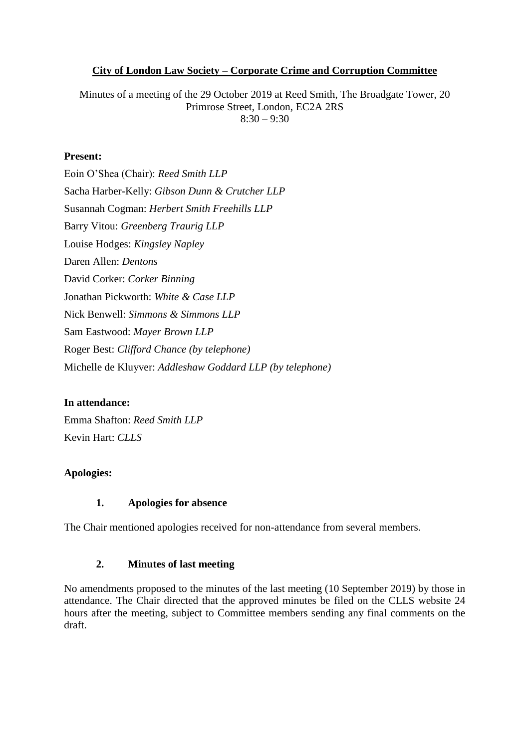## **City of London Law Society – Corporate Crime and Corruption Committee**

Minutes of a meeting of the 29 October 2019 at Reed Smith, The Broadgate Tower, 20 Primrose Street, London, EC2A 2RS  $8:30 - 9:30$ 

## **Present:**

Eoin O'Shea (Chair): *Reed Smith LLP* Sacha Harber-Kelly: *Gibson Dunn & Crutcher LLP* Susannah Cogman: *Herbert Smith Freehills LLP* Barry Vitou: *Greenberg Traurig LLP* Louise Hodges: *Kingsley Napley*  Daren Allen: *Dentons* David Corker: *Corker Binning* Jonathan Pickworth: *White & Case LLP* Nick Benwell: *Simmons & Simmons LLP* Sam Eastwood: *Mayer Brown LLP* Roger Best: *Clifford Chance (by telephone)* Michelle de Kluyver: *Addleshaw Goddard LLP (by telephone)*

#### **In attendance:**

Emma Shafton: *Reed Smith LLP* Kevin Hart: *CLLS*

## **Apologies:**

#### **1. Apologies for absence**

The Chair mentioned apologies received for non-attendance from several members.

## **2. Minutes of last meeting**

No amendments proposed to the minutes of the last meeting (10 September 2019) by those in attendance. The Chair directed that the approved minutes be filed on the CLLS website 24 hours after the meeting, subject to Committee members sending any final comments on the draft.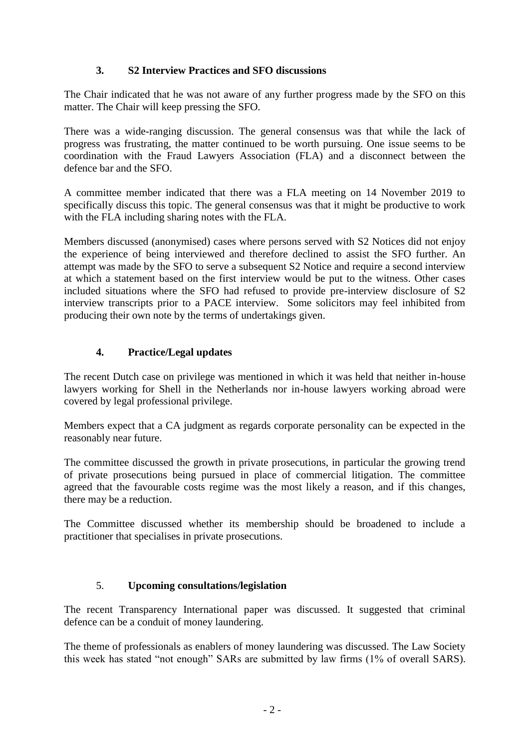## **3. S2 Interview Practices and SFO discussions**

The Chair indicated that he was not aware of any further progress made by the SFO on this matter. The Chair will keep pressing the SFO.

There was a wide-ranging discussion. The general consensus was that while the lack of progress was frustrating, the matter continued to be worth pursuing. One issue seems to be coordination with the Fraud Lawyers Association (FLA) and a disconnect between the defence bar and the SFO.

A committee member indicated that there was a FLA meeting on 14 November 2019 to specifically discuss this topic. The general consensus was that it might be productive to work with the FLA including sharing notes with the FLA.

Members discussed (anonymised) cases where persons served with S2 Notices did not enjoy the experience of being interviewed and therefore declined to assist the SFO further. An attempt was made by the SFO to serve a subsequent S2 Notice and require a second interview at which a statement based on the first interview would be put to the witness. Other cases included situations where the SFO had refused to provide pre-interview disclosure of S2 interview transcripts prior to a PACE interview. Some solicitors may feel inhibited from producing their own note by the terms of undertakings given.

## **4. Practice/Legal updates**

The recent Dutch case on privilege was mentioned in which it was held that neither in-house lawyers working for Shell in the Netherlands nor in-house lawyers working abroad were covered by legal professional privilege.

Members expect that a CA judgment as regards corporate personality can be expected in the reasonably near future.

The committee discussed the growth in private prosecutions, in particular the growing trend of private prosecutions being pursued in place of commercial litigation. The committee agreed that the favourable costs regime was the most likely a reason, and if this changes, there may be a reduction.

The Committee discussed whether its membership should be broadened to include a practitioner that specialises in private prosecutions.

# 5. **Upcoming consultations/legislation**

The recent Transparency International paper was discussed. It suggested that criminal defence can be a conduit of money laundering.

The theme of professionals as enablers of money laundering was discussed. The Law Society this week has stated "not enough" SARs are submitted by law firms (1% of overall SARS).